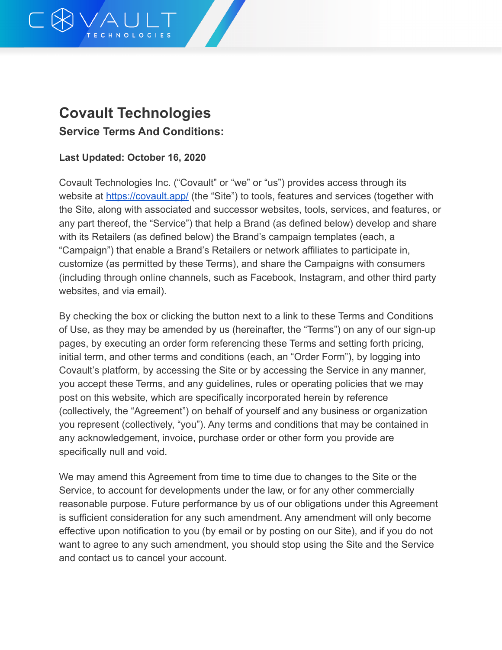

# **Covault Technologies Service Terms And Conditions:**

#### **Last Updated: October 16, 2020**

Covault Technologies Inc. ("Covault" or "we" or "us") provides access through its website at <https://covault.app/> (the "Site") to tools, features and services (together with the Site, along with associated and successor websites, tools, services, and features, or any part thereof, the "Service") that help a Brand (as defined below) develop and share with its Retailers (as defined below) the Brand's campaign templates (each, a "Campaign") that enable a Brand's Retailers or network affiliates to participate in, customize (as permitted by these Terms), and share the Campaigns with consumers (including through online channels, such as Facebook, Instagram, and other third party websites, and via email).

By checking the box or clicking the button next to a link to these Terms and Conditions of Use, as they may be amended by us (hereinafter, the "Terms") on any of our sign-up pages, by executing an order form referencing these Terms and setting forth pricing, initial term, and other terms and conditions (each, an "Order Form"), by logging into Covault's platform, by accessing the Site or by accessing the Service in any manner, you accept these Terms, and any guidelines, rules or operating policies that we may post on this website, which are specifically incorporated herein by reference (collectively, the "Agreement") on behalf of yourself and any business or organization you represent (collectively, "you"). Any terms and conditions that may be contained in any acknowledgement, invoice, purchase order or other form you provide are specifically null and void.

We may amend this Agreement from time to time due to changes to the Site or the Service, to account for developments under the law, or for any other commercially reasonable purpose. Future performance by us of our obligations under this Agreement is sufficient consideration for any such amendment. Any amendment will only become effective upon notification to you (by email or by posting on our Site), and if you do not want to agree to any such amendment, you should stop using the Site and the Service and contact us to cancel your account.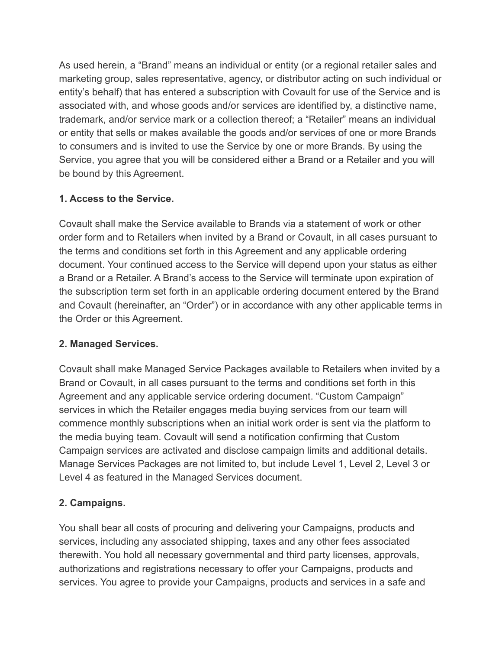As used herein, a "Brand" means an individual or entity (or a regional retailer sales and marketing group, sales representative, agency, or distributor acting on such individual or entity's behalf) that has entered a subscription with Covault for use of the Service and is associated with, and whose goods and/or services are identified by, a distinctive name, trademark, and/or service mark or a collection thereof; a "Retailer" means an individual or entity that sells or makes available the goods and/or services of one or more Brands to consumers and is invited to use the Service by one or more Brands. By using the Service, you agree that you will be considered either a Brand or a Retailer and you will be bound by this Agreement.

## **1. Access to the Service.**

Covault shall make the Service available to Brands via a statement of work or other order form and to Retailers when invited by a Brand or Covault, in all cases pursuant to the terms and conditions set forth in this Agreement and any applicable ordering document. Your continued access to the Service will depend upon your status as either a Brand or a Retailer. A Brand's access to the Service will terminate upon expiration of the subscription term set forth in an applicable ordering document entered by the Brand and Covault (hereinafter, an "Order") or in accordance with any other applicable terms in the Order or this Agreement.

### **2. Managed Services.**

Covault shall make Managed Service Packages available to Retailers when invited by a Brand or Covault, in all cases pursuant to the terms and conditions set forth in this Agreement and any applicable service ordering document. "Custom Campaign" services in which the Retailer engages media buying services from our team will commence monthly subscriptions when an initial work order is sent via the platform to the media buying team. Covault will send a notification confirming that Custom Campaign services are activated and disclose campaign limits and additional details. Manage Services Packages are not limited to, but include Level 1, Level 2, Level 3 or Level 4 as featured in the Managed Services document.

# **2. Campaigns.**

You shall bear all costs of procuring and delivering your Campaigns, products and services, including any associated shipping, taxes and any other fees associated therewith. You hold all necessary governmental and third party licenses, approvals, authorizations and registrations necessary to offer your Campaigns, products and services. You agree to provide your Campaigns, products and services in a safe and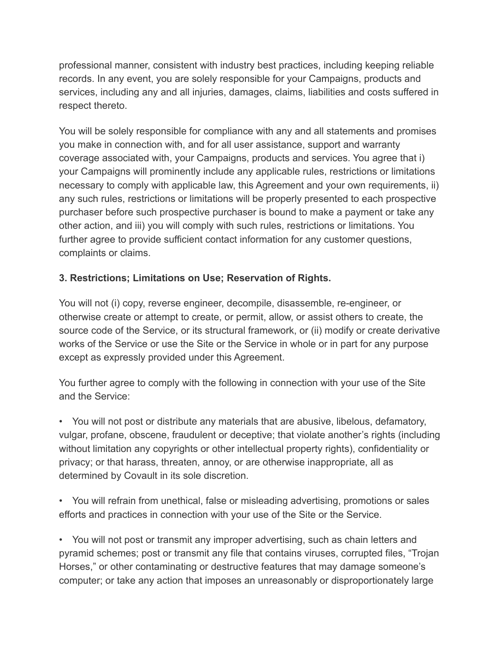professional manner, consistent with industry best practices, including keeping reliable records. In any event, you are solely responsible for your Campaigns, products and services, including any and all injuries, damages, claims, liabilities and costs suffered in respect thereto.

You will be solely responsible for compliance with any and all statements and promises you make in connection with, and for all user assistance, support and warranty coverage associated with, your Campaigns, products and services. You agree that i) your Campaigns will prominently include any applicable rules, restrictions or limitations necessary to comply with applicable law, this Agreement and your own requirements, ii) any such rules, restrictions or limitations will be properly presented to each prospective purchaser before such prospective purchaser is bound to make a payment or take any other action, and iii) you will comply with such rules, restrictions or limitations. You further agree to provide sufficient contact information for any customer questions, complaints or claims.

## **3. Restrictions; Limitations on Use; Reservation of Rights.**

You will not (i) copy, reverse engineer, decompile, disassemble, re-engineer, or otherwise create or attempt to create, or permit, allow, or assist others to create, the source code of the Service, or its structural framework, or (ii) modify or create derivative works of the Service or use the Site or the Service in whole or in part for any purpose except as expressly provided under this Agreement.

You further agree to comply with the following in connection with your use of the Site and the Service:

• You will not post or distribute any materials that are abusive, libelous, defamatory, vulgar, profane, obscene, fraudulent or deceptive; that violate another's rights (including without limitation any copyrights or other intellectual property rights), confidentiality or privacy; or that harass, threaten, annoy, or are otherwise inappropriate, all as determined by Covault in its sole discretion.

• You will refrain from unethical, false or misleading advertising, promotions or sales efforts and practices in connection with your use of the Site or the Service.

• You will not post or transmit any improper advertising, such as chain letters and pyramid schemes; post or transmit any file that contains viruses, corrupted files, "Trojan Horses," or other contaminating or destructive features that may damage someone's computer; or take any action that imposes an unreasonably or disproportionately large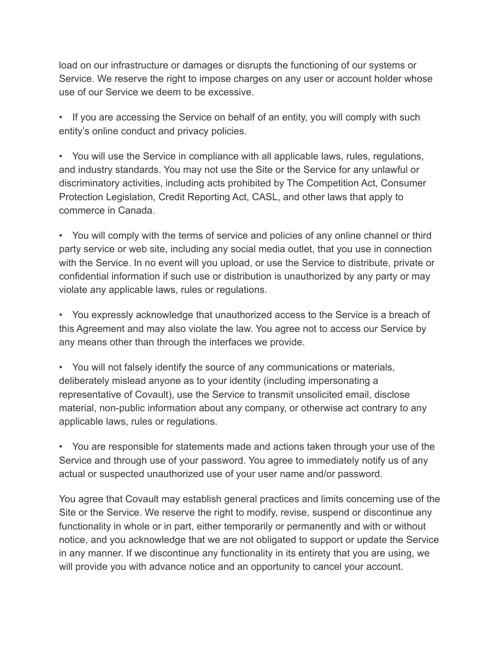load on our infrastructure or damages or disrupts the functioning of our systems or Service. We reserve the right to impose charges on any user or account holder whose use of our Service we deem to be excessive.

• If you are accessing the Service on behalf of an entity, you will comply with such entity's online conduct and privacy policies.

• You will use the Service in compliance with all applicable laws, rules, regulations, and industry standards. You may not use the Site or the Service for any unlawful or discriminatory activities, including acts prohibited by The Competition Act, Consumer Protection Legislation, Credit Reporting Act, CASL, and other laws that apply to commerce in Canada.

• You will comply with the terms of service and policies of any online channel or third party service or web site, including any social media outlet, that you use in connection with the Service. In no event will you upload, or use the Service to distribute, private or confidential information if such use or distribution is unauthorized by any party or may violate any applicable laws, rules or regulations.

• You expressly acknowledge that unauthorized access to the Service is a breach of this Agreement and may also violate the law. You agree not to access our Service by any means other than through the interfaces we provide.

• You will not falsely identify the source of any communications or materials, deliberately mislead anyone as to your identity (including impersonating a representative of Covault), use the Service to transmit unsolicited email, disclose material, non-public information about any company, or otherwise act contrary to any applicable laws, rules or regulations.

• You are responsible for statements made and actions taken through your use of the Service and through use of your password. You agree to immediately notify us of any actual or suspected unauthorized use of your user name and/or password.

You agree that Covault may establish general practices and limits concerning use of the Site or the Service. We reserve the right to modify, revise, suspend or discontinue any functionality in whole or in part, either temporarily or permanently and with or without notice, and you acknowledge that we are not obligated to support or update the Service in any manner. If we discontinue any functionality in its entirety that you are using, we will provide you with advance notice and an opportunity to cancel your account.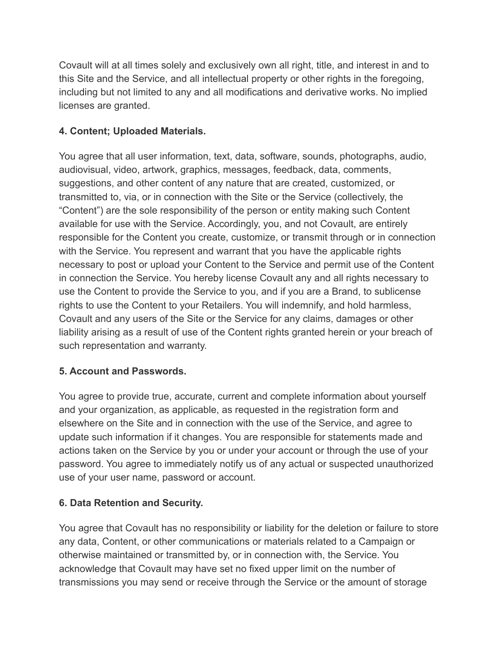Covault will at all times solely and exclusively own all right, title, and interest in and to this Site and the Service, and all intellectual property or other rights in the foregoing, including but not limited to any and all modifications and derivative works. No implied licenses are granted.

## **4. Content; Uploaded Materials.**

You agree that all user information, text, data, software, sounds, photographs, audio, audiovisual, video, artwork, graphics, messages, feedback, data, comments, suggestions, and other content of any nature that are created, customized, or transmitted to, via, or in connection with the Site or the Service (collectively, the "Content") are the sole responsibility of the person or entity making such Content available for use with the Service. Accordingly, you, and not Covault, are entirely responsible for the Content you create, customize, or transmit through or in connection with the Service. You represent and warrant that you have the applicable rights necessary to post or upload your Content to the Service and permit use of the Content in connection the Service. You hereby license Covault any and all rights necessary to use the Content to provide the Service to you, and if you are a Brand, to sublicense rights to use the Content to your Retailers. You will indemnify, and hold harmless, Covault and any users of the Site or the Service for any claims, damages or other liability arising as a result of use of the Content rights granted herein or your breach of such representation and warranty.

### **5. Account and Passwords.**

You agree to provide true, accurate, current and complete information about yourself and your organization, as applicable, as requested in the registration form and elsewhere on the Site and in connection with the use of the Service, and agree to update such information if it changes. You are responsible for statements made and actions taken on the Service by you or under your account or through the use of your password. You agree to immediately notify us of any actual or suspected unauthorized use of your user name, password or account.

# **6. Data Retention and Security.**

You agree that Covault has no responsibility or liability for the deletion or failure to store any data, Content, or other communications or materials related to a Campaign or otherwise maintained or transmitted by, or in connection with, the Service. You acknowledge that Covault may have set no fixed upper limit on the number of transmissions you may send or receive through the Service or the amount of storage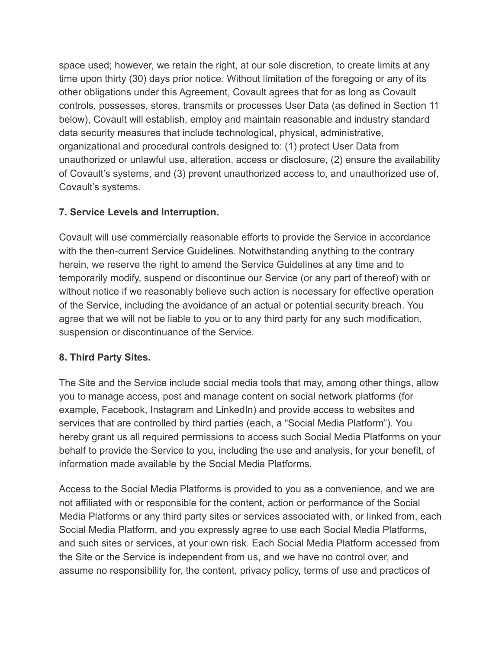space used; however, we retain the right, at our sole discretion, to create limits at any time upon thirty (30) days prior notice. Without limitation of the foregoing or any of its other obligations under this Agreement, Covault agrees that for as long as Covault controls, possesses, stores, transmits or processes User Data (as defined in Section 11 below), Covault will establish, employ and maintain reasonable and industry standard data security measures that include technological, physical, administrative, organizational and procedural controls designed to: (1) protect User Data from unauthorized or unlawful use, alteration, access or disclosure, (2) ensure the availability of Covault's systems, and (3) prevent unauthorized access to, and unauthorized use of, Covault's systems.

### **7. Service Levels and Interruption.**

Covault will use commercially reasonable efforts to provide the Service in accordance with the then-current Service Guidelines. Notwithstanding anything to the contrary herein, we reserve the right to amend the Service Guidelines at any time and to temporarily modify, suspend or discontinue our Service (or any part of thereof) with or without notice if we reasonably believe such action is necessary for effective operation of the Service, including the avoidance of an actual or potential security breach. You agree that we will not be liable to you or to any third party for any such modification, suspension or discontinuance of the Service.

### **8. Third Party Sites.**

The Site and the Service include social media tools that may, among other things, allow you to manage access, post and manage content on social network platforms (for example, Facebook, Instagram and LinkedIn) and provide access to websites and services that are controlled by third parties (each, a "Social Media Platform"). You hereby grant us all required permissions to access such Social Media Platforms on your behalf to provide the Service to you, including the use and analysis, for your benefit, of information made available by the Social Media Platforms.

Access to the Social Media Platforms is provided to you as a convenience, and we are not affiliated with or responsible for the content, action or performance of the Social Media Platforms or any third party sites or services associated with, or linked from, each Social Media Platform, and you expressly agree to use each Social Media Platforms, and such sites or services, at your own risk. Each Social Media Platform accessed from the Site or the Service is independent from us, and we have no control over, and assume no responsibility for, the content, privacy policy, terms of use and practices of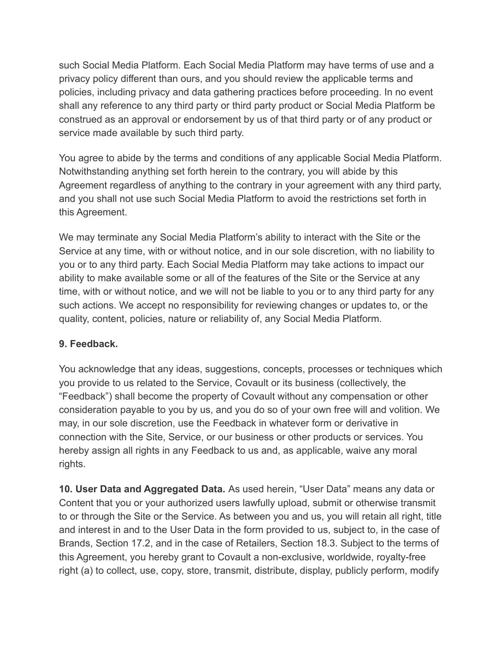such Social Media Platform. Each Social Media Platform may have terms of use and a privacy policy different than ours, and you should review the applicable terms and policies, including privacy and data gathering practices before proceeding. In no event shall any reference to any third party or third party product or Social Media Platform be construed as an approval or endorsement by us of that third party or of any product or service made available by such third party.

You agree to abide by the terms and conditions of any applicable Social Media Platform. Notwithstanding anything set forth herein to the contrary, you will abide by this Agreement regardless of anything to the contrary in your agreement with any third party, and you shall not use such Social Media Platform to avoid the restrictions set forth in this Agreement.

We may terminate any Social Media Platform's ability to interact with the Site or the Service at any time, with or without notice, and in our sole discretion, with no liability to you or to any third party. Each Social Media Platform may take actions to impact our ability to make available some or all of the features of the Site or the Service at any time, with or without notice, and we will not be liable to you or to any third party for any such actions. We accept no responsibility for reviewing changes or updates to, or the quality, content, policies, nature or reliability of, any Social Media Platform.

#### **9. Feedback.**

You acknowledge that any ideas, suggestions, concepts, processes or techniques which you provide to us related to the Service, Covault or its business (collectively, the "Feedback") shall become the property of Covault without any compensation or other consideration payable to you by us, and you do so of your own free will and volition. We may, in our sole discretion, use the Feedback in whatever form or derivative in connection with the Site, Service, or our business or other products or services. You hereby assign all rights in any Feedback to us and, as applicable, waive any moral rights.

**10. User Data and Aggregated Data.** As used herein, "User Data" means any data or Content that you or your authorized users lawfully upload, submit or otherwise transmit to or through the Site or the Service. As between you and us, you will retain all right, title and interest in and to the User Data in the form provided to us, subject to, in the case of Brands, Section 17.2, and in the case of Retailers, Section 18.3. Subject to the terms of this Agreement, you hereby grant to Covault a non-exclusive, worldwide, royalty-free right (a) to collect, use, copy, store, transmit, distribute, display, publicly perform, modify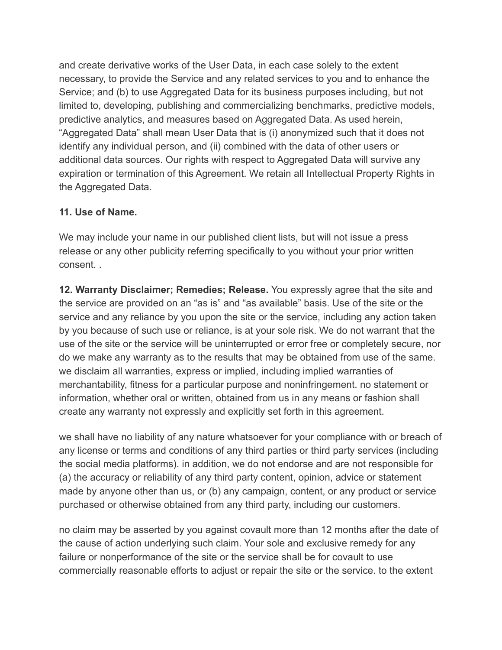and create derivative works of the User Data, in each case solely to the extent necessary, to provide the Service and any related services to you and to enhance the Service; and (b) to use Aggregated Data for its business purposes including, but not limited to, developing, publishing and commercializing benchmarks, predictive models, predictive analytics, and measures based on Aggregated Data. As used herein, "Aggregated Data" shall mean User Data that is (i) anonymized such that it does not identify any individual person, and (ii) combined with the data of other users or additional data sources. Our rights with respect to Aggregated Data will survive any expiration or termination of this Agreement. We retain all Intellectual Property Rights in the Aggregated Data.

#### **11. Use of Name.**

We may include your name in our published client lists, but will not issue a press release or any other publicity referring specifically to you without your prior written consent

**12. Warranty Disclaimer; Remedies; Release.** You expressly agree that the site and the service are provided on an "as is" and "as available" basis. Use of the site or the service and any reliance by you upon the site or the service, including any action taken by you because of such use or reliance, is at your sole risk. We do not warrant that the use of the site or the service will be uninterrupted or error free or completely secure, nor do we make any warranty as to the results that may be obtained from use of the same. we disclaim all warranties, express or implied, including implied warranties of merchantability, fitness for a particular purpose and noninfringement. no statement or information, whether oral or written, obtained from us in any means or fashion shall create any warranty not expressly and explicitly set forth in this agreement.

we shall have no liability of any nature whatsoever for your compliance with or breach of any license or terms and conditions of any third parties or third party services (including the social media platforms). in addition, we do not endorse and are not responsible for (a) the accuracy or reliability of any third party content, opinion, advice or statement made by anyone other than us, or (b) any campaign, content, or any product or service purchased or otherwise obtained from any third party, including our customers.

no claim may be asserted by you against covault more than 12 months after the date of the cause of action underlying such claim. Your sole and exclusive remedy for any failure or nonperformance of the site or the service shall be for covault to use commercially reasonable efforts to adjust or repair the site or the service. to the extent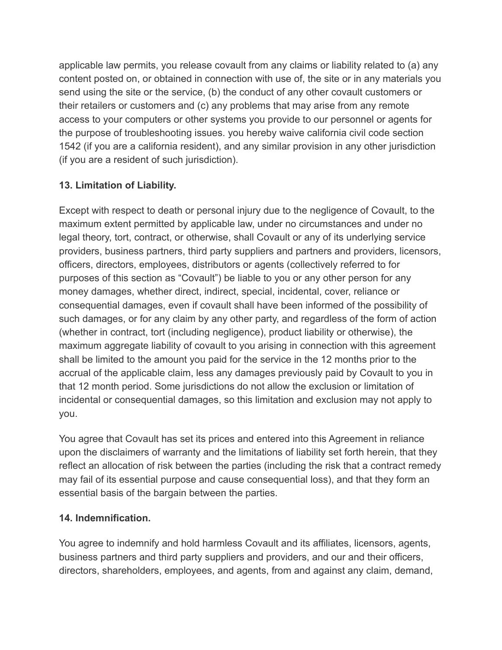applicable law permits, you release covault from any claims or liability related to (a) any content posted on, or obtained in connection with use of, the site or in any materials you send using the site or the service, (b) the conduct of any other covault customers or their retailers or customers and (c) any problems that may arise from any remote access to your computers or other systems you provide to our personnel or agents for the purpose of troubleshooting issues. you hereby waive california civil code section 1542 (if you are a california resident), and any similar provision in any other jurisdiction (if you are a resident of such jurisdiction).

# **13. Limitation of Liability.**

Except with respect to death or personal injury due to the negligence of Covault, to the maximum extent permitted by applicable law, under no circumstances and under no legal theory, tort, contract, or otherwise, shall Covault or any of its underlying service providers, business partners, third party suppliers and partners and providers, licensors, officers, directors, employees, distributors or agents (collectively referred to for purposes of this section as "Covault") be liable to you or any other person for any money damages, whether direct, indirect, special, incidental, cover, reliance or consequential damages, even if covault shall have been informed of the possibility of such damages, or for any claim by any other party, and regardless of the form of action (whether in contract, tort (including negligence), product liability or otherwise), the maximum aggregate liability of covault to you arising in connection with this agreement shall be limited to the amount you paid for the service in the 12 months prior to the accrual of the applicable claim, less any damages previously paid by Covault to you in that 12 month period. Some jurisdictions do not allow the exclusion or limitation of incidental or consequential damages, so this limitation and exclusion may not apply to you.

You agree that Covault has set its prices and entered into this Agreement in reliance upon the disclaimers of warranty and the limitations of liability set forth herein, that they reflect an allocation of risk between the parties (including the risk that a contract remedy may fail of its essential purpose and cause consequential loss), and that they form an essential basis of the bargain between the parties.

### **14. Indemnification.**

You agree to indemnify and hold harmless Covault and its affiliates, licensors, agents, business partners and third party suppliers and providers, and our and their officers, directors, shareholders, employees, and agents, from and against any claim, demand,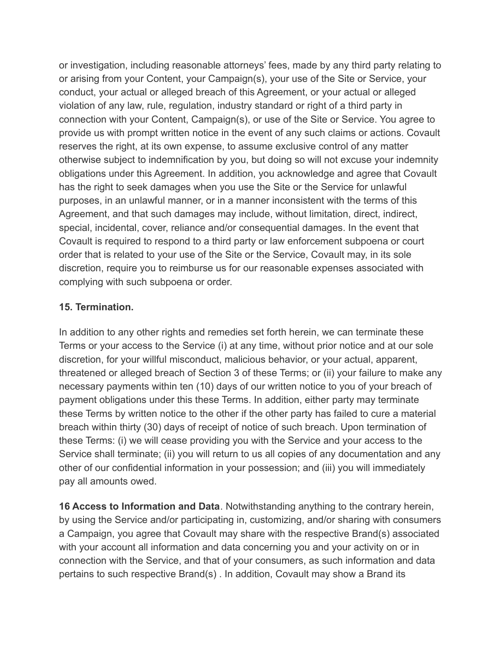or investigation, including reasonable attorneys' fees, made by any third party relating to or arising from your Content, your Campaign(s), your use of the Site or Service, your conduct, your actual or alleged breach of this Agreement, or your actual or alleged violation of any law, rule, regulation, industry standard or right of a third party in connection with your Content, Campaign(s), or use of the Site or Service. You agree to provide us with prompt written notice in the event of any such claims or actions. Covault reserves the right, at its own expense, to assume exclusive control of any matter otherwise subject to indemnification by you, but doing so will not excuse your indemnity obligations under this Agreement. In addition, you acknowledge and agree that Covault has the right to seek damages when you use the Site or the Service for unlawful purposes, in an unlawful manner, or in a manner inconsistent with the terms of this Agreement, and that such damages may include, without limitation, direct, indirect, special, incidental, cover, reliance and/or consequential damages. In the event that Covault is required to respond to a third party or law enforcement subpoena or court order that is related to your use of the Site or the Service, Covault may, in its sole discretion, require you to reimburse us for our reasonable expenses associated with complying with such subpoena or order.

#### **15. Termination.**

In addition to any other rights and remedies set forth herein, we can terminate these Terms or your access to the Service (i) at any time, without prior notice and at our sole discretion, for your willful misconduct, malicious behavior, or your actual, apparent, threatened or alleged breach of Section 3 of these Terms; or (ii) your failure to make any necessary payments within ten (10) days of our written notice to you of your breach of payment obligations under this these Terms. In addition, either party may terminate these Terms by written notice to the other if the other party has failed to cure a material breach within thirty (30) days of receipt of notice of such breach. Upon termination of these Terms: (i) we will cease providing you with the Service and your access to the Service shall terminate; (ii) you will return to us all copies of any documentation and any other of our confidential information in your possession; and (iii) you will immediately pay all amounts owed.

**16 Access to Information and Data**. Notwithstanding anything to the contrary herein, by using the Service and/or participating in, customizing, and/or sharing with consumers a Campaign, you agree that Covault may share with the respective Brand(s) associated with your account all information and data concerning you and your activity on or in connection with the Service, and that of your consumers, as such information and data pertains to such respective Brand(s) . In addition, Covault may show a Brand its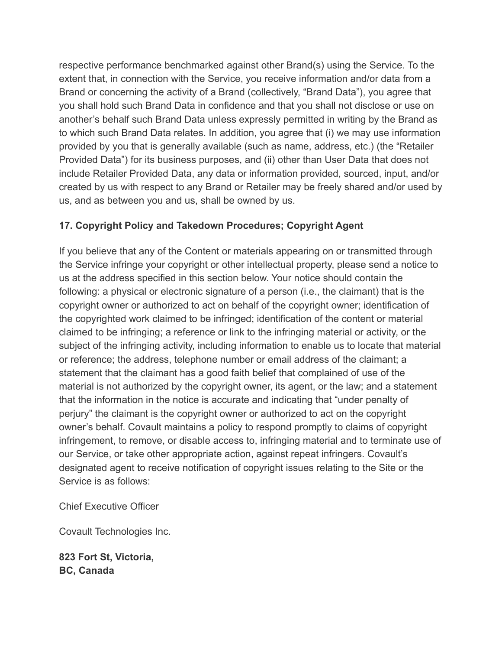respective performance benchmarked against other Brand(s) using the Service. To the extent that, in connection with the Service, you receive information and/or data from a Brand or concerning the activity of a Brand (collectively, "Brand Data"), you agree that you shall hold such Brand Data in confidence and that you shall not disclose or use on another's behalf such Brand Data unless expressly permitted in writing by the Brand as to which such Brand Data relates. In addition, you agree that (i) we may use information provided by you that is generally available (such as name, address, etc.) (the "Retailer Provided Data") for its business purposes, and (ii) other than User Data that does not include Retailer Provided Data, any data or information provided, sourced, input, and/or created by us with respect to any Brand or Retailer may be freely shared and/or used by us, and as between you and us, shall be owned by us.

# **17. Copyright Policy and Takedown Procedures; Copyright Agent**

If you believe that any of the Content or materials appearing on or transmitted through the Service infringe your copyright or other intellectual property, please send a notice to us at the address specified in this section below. Your notice should contain the following: a physical or electronic signature of a person (i.e., the claimant) that is the copyright owner or authorized to act on behalf of the copyright owner; identification of the copyrighted work claimed to be infringed; identification of the content or material claimed to be infringing; a reference or link to the infringing material or activity, or the subject of the infringing activity, including information to enable us to locate that material or reference; the address, telephone number or email address of the claimant; a statement that the claimant has a good faith belief that complained of use of the material is not authorized by the copyright owner, its agent, or the law; and a statement that the information in the notice is accurate and indicating that "under penalty of perjury" the claimant is the copyright owner or authorized to act on the copyright owner's behalf. Covault maintains a policy to respond promptly to claims of copyright infringement, to remove, or disable access to, infringing material and to terminate use of our Service, or take other appropriate action, against repeat infringers. Covault's designated agent to receive notification of copyright issues relating to the Site or the Service is as follows:

Chief Executive Officer

Covault Technologies Inc.

**823 Fort St, Victoria, BC, Canada**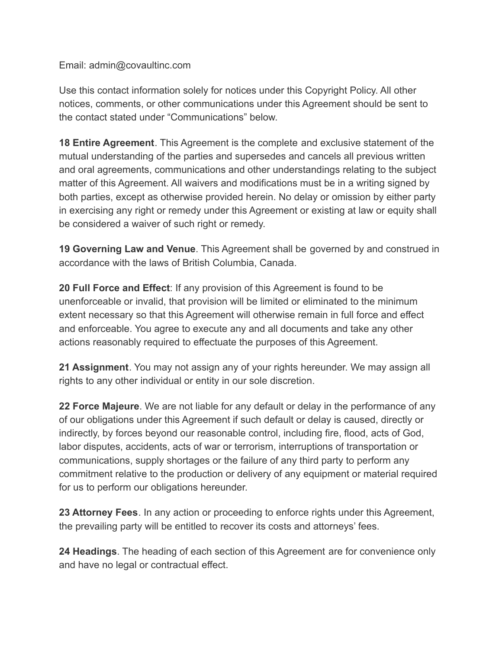Email: admin@covaultinc.com

Use this contact information solely for notices under this Copyright Policy. All other notices, comments, or other communications under this Agreement should be sent to the contact stated under "Communications" below.

**18 Entire Agreement**. This Agreement is the complete and exclusive statement of the mutual understanding of the parties and supersedes and cancels all previous written and oral agreements, communications and other understandings relating to the subject matter of this Agreement. All waivers and modifications must be in a writing signed by both parties, except as otherwise provided herein. No delay or omission by either party in exercising any right or remedy under this Agreement or existing at law or equity shall be considered a waiver of such right or remedy.

**19 Governing Law and Venue**. This Agreement shall be governed by and construed in accordance with the laws of British Columbia, Canada.

**20 Full Force and Effect**: If any provision of this Agreement is found to be unenforceable or invalid, that provision will be limited or eliminated to the minimum extent necessary so that this Agreement will otherwise remain in full force and effect and enforceable. You agree to execute any and all documents and take any other actions reasonably required to effectuate the purposes of this Agreement.

**21 Assignment**. You may not assign any of your rights hereunder. We may assign all rights to any other individual or entity in our sole discretion.

**22 Force Majeure**. We are not liable for any default or delay in the performance of any of our obligations under this Agreement if such default or delay is caused, directly or indirectly, by forces beyond our reasonable control, including fire, flood, acts of God, labor disputes, accidents, acts of war or terrorism, interruptions of transportation or communications, supply shortages or the failure of any third party to perform any commitment relative to the production or delivery of any equipment or material required for us to perform our obligations hereunder.

**23 Attorney Fees**. In any action or proceeding to enforce rights under this Agreement, the prevailing party will be entitled to recover its costs and attorneys' fees.

**24 Headings**. The heading of each section of this Agreement are for convenience only and have no legal or contractual effect.